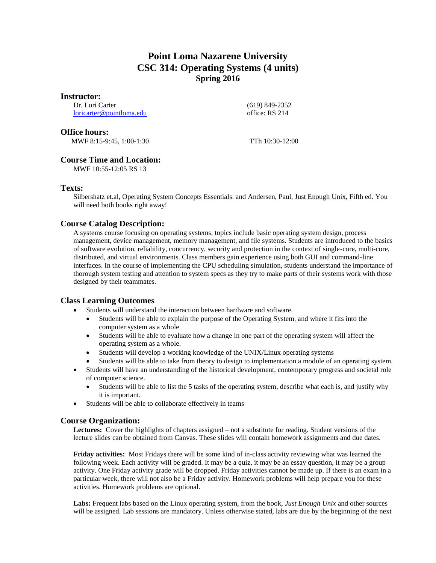## **Point Loma Nazarene University CSC 314: Operating Systems (4 units) Spring 2016**

#### **Instructor:**

Dr. Lori Carter [loricarter@pointloma.edu](mailto:loricarter@pointloma.edu)  (619) 849-2352 office: RS 214

#### **Office hours:**

MWF 8:15-9:45, 1:00-1:30 TTh 10:30-12:00

## **Course Time and Location:**

MWF 10:55-12:05 RS 13

## **Texts:**

Silbershatz et.al, Operating System Concepts Essentials. and Andersen, Paul, Just Enough Unix, Fifth ed. You will need both books right away!

## **Course Catalog Description:**

A systems course focusing on operating systems, topics include basic operating system design, process management, device management, memory management, and file systems. Students are introduced to the basics of software evolution, reliability, concurrency, security and protection in the context of single-core, multi-core, distributed, and virtual environments. Class members gain experience using both GUI and command-line interfaces. In the course of implementing the CPU scheduling simulation, students understand the importance of thorough system testing and attention to system specs as they try to make parts of their systems work with those designed by their teammates.

## **Class Learning Outcomes**

- Students will understand the interaction between hardware and software.
	- Students will be able to explain the purpose of the Operating System, and where it fits into the computer system as a whole
	- Students will be able to evaluate how a change in one part of the operating system will affect the operating system as a whole.
	- Students will develop a working knowledge of the UNIX/Linux operating systems
	- Students will be able to take from theory to design to implementation a module of an operating system.
- Students will have an understanding of the historical development, contemporary progress and societal role of computer science.
	- Students will be able to list the 5 tasks of the operating system, describe what each is, and justify why it is important.
- Students will be able to collaborate effectively in teams

## **Course Organization:**

**Lectures:** Cover the highlights of chapters assigned – not a substitute for reading. Student versions of the lecture slides can be obtained from Canvas. These slides will contain homework assignments and due dates.

**Friday activities:** Most Fridays there will be some kind of in-class activity reviewing what was learned the following week. Each activity will be graded. It may be a quiz, it may be an essay question, it may be a group activity. One Friday activity grade will be dropped. Friday activities cannot be made up. If there is an exam in a particular week, there will not also be a Friday activity. Homework problems will help prepare you for these activities. Homework problems are optional.

**Labs:** Frequent labs based on the Linux operating system, from the book, *Just Enough Unix* and other sources will be assigned. Lab sessions are mandatory. Unless otherwise stated, labs are due by the beginning of the next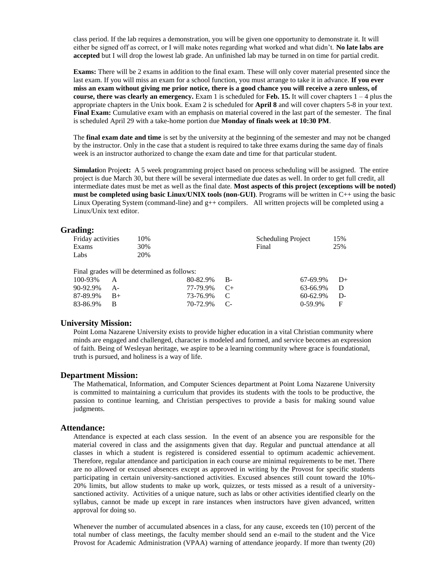class period. If the lab requires a demonstration, you will be given one opportunity to demonstrate it. It will either be signed off as correct, or I will make notes regarding what worked and what didn't. **No late labs are accepted** but I will drop the lowest lab grade. An unfinished lab may be turned in on time for partial credit.

**Exams:** There will be 2 exams in addition to the final exam. These will only cover material presented since the last exam. If you will miss an exam for a school function, you must arrange to take it in advance. **If you ever miss an exam without giving me prior notice, there is a good chance you will receive a zero unless, of course, there was clearly an emergency.** Exam 1 is scheduled for **Feb. 15.** It will cover chapters 1 – 4 plus the appropriate chapters in the Unix book. Exam 2 is scheduled for **April 8** and will cover chapters 5-8 in your text. **Final Exam:** Cumulative exam with an emphasis on material covered in the last part of the semester. The final is scheduled April 29 with a take-home portion due **Monday of finals week at 10:30 PM**.

The **final exam date and time** is set by the university at the beginning of the semester and may not be changed by the instructor. Only in the case that a student is required to take three exams during the same day of finals week is an instructor authorized to change the exam date and time for that particular student.

**Simulation Project:** A 5 week programming project based on process scheduling will be assigned. The entire project is due March 30, but there will be several intermediate due dates as well. In order to get full credit, all intermediate dates must be met as well as the final date. **Most aspects of this project (exceptions will be noted) must be completed using basic Linux/UNIX tools (non-GUI)**. Programs will be written in C++ using the basic Linux Operating System (command-line) and g++ compilers.All written projects will be completed using a Linux/Unix text editor.

#### **Grading:**

|       | 15%                       |
|-------|---------------------------|
| Final | 25%                       |
|       |                           |
|       | <b>Scheduling Project</b> |

Final grades will be determined as follows:

| $100-93\%$ A   | $80-82.9\%$ B- | $67-69.9\%$ D+ |  |
|----------------|----------------|----------------|--|
| 90-92.9% A-    | 77-79.9% C+    | 63-66.9% D     |  |
| $87-89.9\%$ B+ | 73-76.9% C     | $60-62.9\%$ D- |  |
| 83-86.9% B     | 70-72.9% C-    | $0-59.9\%$ F   |  |

#### **University Mission:**

Point Loma Nazarene University exists to provide higher education in a vital Christian community where minds are engaged and challenged, character is modeled and formed, and service becomes an expression of faith. Being of Wesleyan heritage, we aspire to be a learning community where grace is foundational, truth is pursued, and holiness is a way of life.

#### **Department Mission:**

The Mathematical, Information, and Computer Sciences department at Point Loma Nazarene University is committed to maintaining a curriculum that provides its students with the tools to be productive, the passion to continue learning, and Christian perspectives to provide a basis for making sound value judgments.

#### **Attendance:**

Attendance is expected at each class session. In the event of an absence you are responsible for the material covered in class and the assignments given that day. Regular and punctual attendance at all classes in which a student is registered is considered essential to optimum academic achievement. Therefore, regular attendance and participation in each course are minimal requirements to be met. There are no allowed or excused absences except as approved in writing by the Provost for specific students participating in certain university-sanctioned activities. Excused absences still count toward the 10%- 20% limits, but allow students to make up work, quizzes, or tests missed as a result of a universitysanctioned activity. Activities of a unique nature, such as labs or other activities identified clearly on the syllabus, cannot be made up except in rare instances when instructors have given advanced, written approval for doing so.

Whenever the number of accumulated absences in a class, for any cause, exceeds ten (10) percent of the total number of class meetings, the faculty member should send an e-mail to the student and the Vice Provost for Academic Administration (VPAA) warning of attendance jeopardy. If more than twenty (20)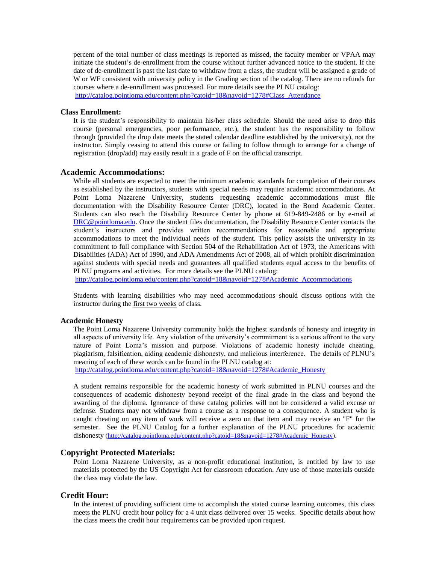percent of the total number of class meetings is reported as missed, the faculty member or VPAA may initiate the student's de-enrollment from the course without further advanced notice to the student. If the date of de-enrollment is past the last date to withdraw from a class, the student will be assigned a grade of W or WF consistent with university policy in the Grading section of the catalog. There are no refunds for courses where a de-enrollment was processed. For more details see the PLNU catalog: [http://catalog.pointloma.edu/content.php?catoid=18&navoid=1278#Class\\_Attendance](http://catalog.pointloma.edu/content.php?catoid=18&navoid=1278#Class_Attendance)

#### **Class Enrollment:**

It is the student's responsibility to maintain his/her class schedule. Should the need arise to drop this course (personal emergencies, poor performance, etc.), the student has the responsibility to follow through (provided the drop date meets the stated calendar deadline established by the university), not the instructor. Simply ceasing to attend this course or failing to follow through to arrange for a change of registration (drop/add) may easily result in a grade of F on the official transcript.

#### **Academic Accommodations:**

While all students are expected to meet the minimum academic standards for completion of their courses as established by the instructors, students with special needs may require academic accommodations. At Point Loma Nazarene University, students requesting academic accommodations must file documentation with the Disability Resource Center (DRC), located in the Bond Academic Center. Students can also reach the Disability Resource Center by phone at 619-849-2486 or by e-mail at [DRC@pointloma.edu.](mailto:DRC@pointloma.edu) Once the student files documentation, the Disability Resource Center contacts the student's instructors and provides written recommendations for reasonable and appropriate accommodations to meet the individual needs of the student. This policy assists the university in its commitment to full compliance with Section 504 of the Rehabilitation Act of 1973, the Americans with Disabilities (ADA) Act of 1990, and ADA Amendments Act of 2008, all of which prohibit discrimination against students with special needs and guarantees all qualified students equal access to the benefits of PLNU programs and activities. For more details see the PLNU catalog:

[http://catalog.pointloma.edu/content.php?catoid=18&navoid=1278#Academic\\_Accommodations](http://catalog.pointloma.edu/content.php?catoid=18&navoid=1278#Academic_Accommodations) 

Students with learning disabilities who may need accommodations should discuss options with the instructor during the first two weeks of class.

#### **Academic Honesty**

The Point Loma Nazarene University community holds the highest standards of honesty and integrity in all aspects of university life. Any violation of the university's commitment is a serious affront to the very nature of Point Loma's mission and purpose. Violations of academic honesty include cheating, plagiarism, falsification, aiding academic dishonesty, and malicious interference. The details of PLNU's meaning of each of these words can be found in the PLNU catalog at:

[http://catalog.pointloma.edu/content.php?catoid=18&navoid=1278#Academic\\_Honesty](http://catalog.pointloma.edu/content.php?catoid=18&navoid=1278#Academic_Honesty)

A student remains responsible for the academic honesty of work submitted in PLNU courses and the consequences of academic dishonesty beyond receipt of the final grade in the class and beyond the awarding of the diploma. Ignorance of these catalog policies will not be considered a valid excuse or defense. Students may not withdraw from a course as a response to a consequence. A student who is caught cheating on any item of work will receive a zero on that item and may receive an "F" for the semester. See the PLNU Catalog for a further explanation of the PLNU procedures for academic dishonesty [\(http://catalog.pointloma.edu/content.php?catoid=18&navoid=1278#Academic\\_Honesty\)](http://catalog.pointloma.edu/content.php?catoid=18&navoid=1278#Academic_Honesty).

#### **Copyright Protected Materials:**

Point Loma Nazarene University, as a non-profit educational institution, is entitled by law to use materials protected by the US Copyright Act for classroom education. Any use of those materials outside the class may violate the law.

#### **Credit Hour:**

In the interest of providing sufficient time to accomplish the stated course learning outcomes, this class meets the PLNU credit hour policy for a 4 unit class delivered over 15 weeks. Specific details about how the class meets the credit hour requirements can be provided upon request.